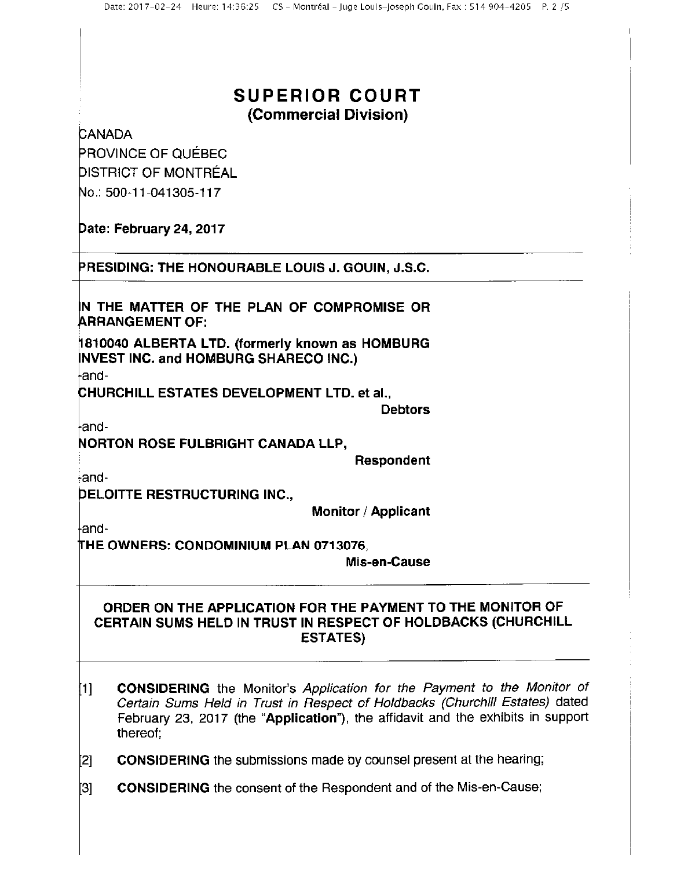## SUPERIOR COURT (Commercial Division)

**CANADA** 

PROVINCE OF QUEBEC DISTRICT OF MONTREAL No.: 500-11-041305-117

Date: February 24, 2017

PRESIDING: THE HONOURABLE LOUIS J. GOUIN, J.S.C.

IN THE MATTER OF THE PLAN OF COMPROMISE OR ARRANGEMENT OF:

fl810040 ALBERTA LTD. (formerly known as HOMBURG NVEST INC. and HOMBURG SHARECO INC.)

and—

CHURCHILL ESTATES DEVELOPMENT LTD. et al.,

**Debtors** 

and-

**NORTON ROSE FULBRIGHT CANADA LLP,** 

Respondent

:—and-

DELOITTE RESTRUCTURING INC.,

Monitor / Applicant

and-

THE OWNERS: CONDOMINIUM PLAN 0713076,

Mis-en-Cause

## ORDER ON THE APPLICATION FOR THE PAYMENT TO THE MONITOR OF CERTAIN sums HELD IN TRUST IN RESPECT OF HOLDBACKS (CHURCHILL ESTATES)

- 11] **CONSIDERING** the Monitor's Application for the Payment to the Monitor of Certain Sums Held in Trust in Respect of Holdbacks (Churchill Estates) dated February 23, 2017 (the "Application"), the affidavit and the exhibits in support thereof;
- [2] **CONSIDERING** the submissions made by counsel present at the hearing;
- [3] **CONSIDERING** the consent of the Respondent and of the Mis-en-Cause;